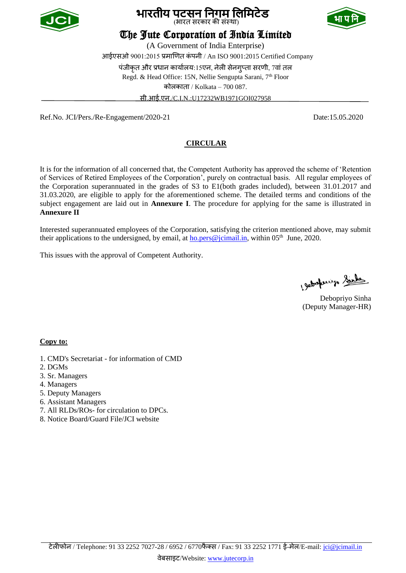





# The Jute Corporation of India Limited

(A Government of India Enterprise) आईएसओ 9001:2015 प्रमाणित कंपनी / An ISO 9001:2015 Certified Company पंजीकृत और प्रधान कार्यालय:15एन, नेली सेनगुप्ता सरणी, 7वां तल Regd. & Head Office: 15N, Nellie Sengupta Sarani, 7<sup>th</sup> Floor कोलकाता / Kolkata – 700 087. सी.आई.एन./C.I.N.:U17232WB1971GOI027958

Ref.No. JCI/Pers./Re-Engagement/2020-21 Date:15.05.2020

### **CIRCULAR**

It is for the information of all concerned that, the Competent Authority has approved the scheme of 'Retention of Services of Retired Employees of the Corporation', purely on contractual basis. All regular employees of the Corporation superannuated in the grades of S3 to E1(both grades included), between 31.01.2017 and 31.03.2020, are eligible to apply for the aforementioned scheme. The detailed terms and conditions of the subject engagement are laid out in **Annexure I**. The procedure for applying for the same is illustrated in **Annexure II**

Interested superannuated employees of the Corporation, satisfying the criterion mentioned above, may submit their applications to the undersigned, by email, at **ho.pers@jcimail.in**, within 05<sup>th</sup> June, 2020.

This issues with the approval of Competent Authority.

Jetopuip Sinks

Debopriyo Sinha (Deputy Manager-HR)

#### **Copy to:**

- 1. CMD's Secretariat for information of CMD
- 2. DGMs
- 3. Sr. Managers
- 4. Managers
- 5. Deputy Managers
- 6. Assistant Managers
- 7. All RLDs/ROs- for circulation to DPCs.
- 8. Notice Board/Guard File/JCI website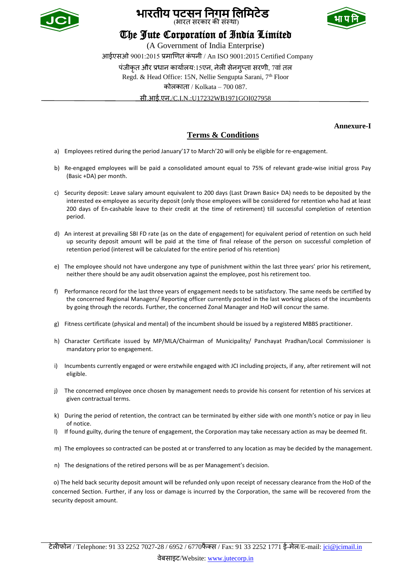

## भारतीय पटसन निगम लिमिटेड (भारत सरकार की संस्था)



# The Jute Corporation of India Limited

(A Government of India Enterprise) आईएसओ 9001:2015 प्रमाणित कं पनी / An ISO 9001:2015 Certified Company पंजीकृत और प्रधान कार्यालय:15एन, नेली सेनगुप्ता सरणी, 7वां तल Regd. & Head Office: 15N, Nellie Sengupta Sarani, 7<sup>th</sup> Floor कोलकाता / Kolkata – 700 087. सी.आई.एन./C.I.N.:U17232WB1971GOI027958

 **Annexure-I**

## **Terms & Conditions**

- a) Employees retired during the period January'17 to March'20 will only be eligible for re-engagement.
- b) Re-engaged employees will be paid a consolidated amount equal to 75% of relevant grade-wise initial gross Pay (Basic +DA) per month.
- c) Security deposit: Leave salary amount equivalent to 200 days (Last Drawn Basic+ DA) needs to be deposited by the interested ex-employee as security deposit (only those employees will be considered for retention who had at least 200 days of En-cashable leave to their credit at the time of retirement) till successful completion of retention period.
- d) An interest at prevailing SBI FD rate (as on the date of engagement) for equivalent period of retention on such held up security deposit amount will be paid at the time of final release of the person on successful completion of retention period (interest will be calculated for the entire period of his retention)
- e) The employee should not have undergone any type of punishment within the last three years' prior his retirement, neither there should be any audit observation against the employee, post his retirement too.
- f) Performance record for the last three years of engagement needs to be satisfactory. The same needs be certified by the concerned Regional Managers/ Reporting officer currently posted in the last working places of the incumbents by going through the records. Further, the concerned Zonal Manager and HoD will concur the same.
- g) Fitness certificate (physical and mental) of the incumbent should be issued by a registered MBBS practitioner.
- h) Character Certificate issued by MP/MLA/Chairman of Municipality/ Panchayat Pradhan/Local Commissioner is mandatory prior to engagement.
- i) Incumbents currently engaged or were erstwhile engaged with JCI including projects, if any, after retirement will not eligible.
- j) The concerned employee once chosen by management needs to provide his consent for retention of his services at given contractual terms.
- k) During the period of retention, the contract can be terminated by either side with one month's notice or pay in lieu of notice.
- l) If found guilty, during the tenure of engagement, the Corporation may take necessary action as may be deemed fit.
- m) The employees so contracted can be posted at or transferred to any location as may be decided by the management.
- n) The designations of the retired persons will be as per Management's decision.

o) The held back security deposit amount will be refunded only upon receipt of necessary clearance from the HoD of the concerned Section. Further, if any loss or damage is incurred by the Corporation, the same will be recovered from the security deposit amount.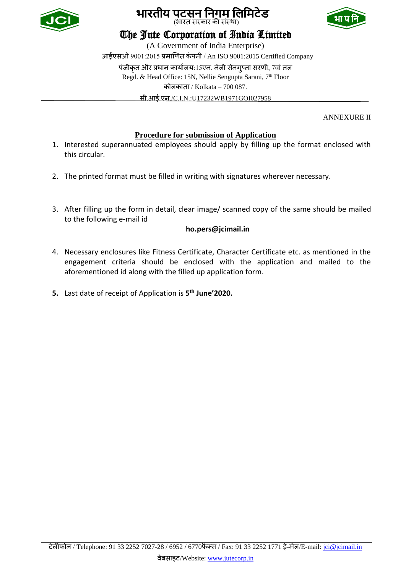

## भारतीय पटसन निगम लिमिटेड (भारत सरकार की संस्था)



# The Jute Corporation of India Limited

(A Government of India Enterprise) आईएसओ 9001:2015 प्रमाणित कं पनी / An ISO 9001:2015 Certified Company पंजीकृत और प्रधान कार्यालय:15एन, नेली सेनगुप्ता सरणी, 7वां तल Regd. & Head Office: 15N, Nellie Sengupta Sarani, 7<sup>th</sup> Floor कोलकाता / Kolkata – 700 087. सी.आई.एन./C.I.N.:U17232WB1971GOI027958

ANNEXURE II

### **Procedure for submission of Application**

- 1. Interested superannuated employees should apply by filling up the format enclosed with this circular.
- 2. The printed format must be filled in writing with signatures wherever necessary.
- 3. After filling up the form in detail, clear image/ scanned copy of the same should be mailed to the following e-mail id

### **ho.pers@jcimail.in**

- 4. Necessary enclosures like Fitness Certificate, Character Certificate etc. as mentioned in the engagement criteria should be enclosed with the application and mailed to the aforementioned id along with the filled up application form.
- **5.** Last date of receipt of Application is **5 th June'2020.**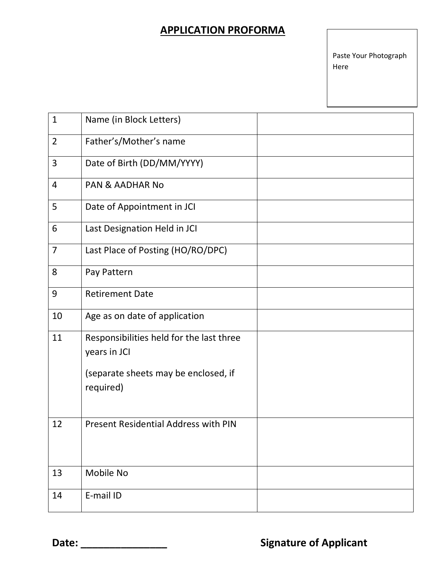# **APPLICATION PROFORMA**

Paste Your Photograph Here

| $\mathbf{1}$   | Name (in Block Letters)                                  |  |
|----------------|----------------------------------------------------------|--|
| $\overline{2}$ | Father's/Mother's name                                   |  |
| 3              | Date of Birth (DD/MM/YYYY)                               |  |
| $\overline{4}$ | <b>PAN &amp; AADHAR No</b>                               |  |
| 5              | Date of Appointment in JCI                               |  |
| 6              | Last Designation Held in JCI                             |  |
| $\overline{7}$ | Last Place of Posting (HO/RO/DPC)                        |  |
| 8              | Pay Pattern                                              |  |
| 9              | <b>Retirement Date</b>                                   |  |
| 10             | Age as on date of application                            |  |
| 11             | Responsibilities held for the last three<br>years in JCI |  |
|                | (separate sheets may be enclosed, if<br>required)        |  |
| 12             | <b>Present Residential Address with PIN</b>              |  |
| 13             | Mobile No                                                |  |
| 14             | E-mail ID                                                |  |